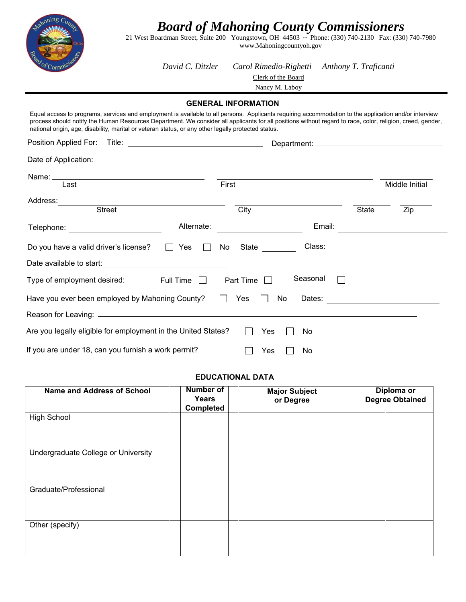

*Board of Mahoning County Commissioners*

21 West Boardman Street, Suite 200 Youngstown, OH 44503 ~ Phone: (330) 740-2130 Fax: (330) 740-7980 www.Mahoningcountyoh.gov

*David C. Ditzler Carol Rimedio-Righetti Anthony T. Traficanti*

Clerk of the Board

Nancy M. Laboy

#### **GENERAL INFORMATION**

| Equal access to programs, services and employment is available to all persons. Applicants requiring accommodation to the application and/or interview<br>process should notify the Human Resources Department. We consider all applicants for all positions without regard to race, color, religion, creed, gender,<br>national origin, age, disability, marital or veteran status, or any other legally protected status. |       |                                       |              |                |
|----------------------------------------------------------------------------------------------------------------------------------------------------------------------------------------------------------------------------------------------------------------------------------------------------------------------------------------------------------------------------------------------------------------------------|-------|---------------------------------------|--------------|----------------|
|                                                                                                                                                                                                                                                                                                                                                                                                                            |       |                                       |              |                |
|                                                                                                                                                                                                                                                                                                                                                                                                                            |       |                                       |              |                |
| Last                                                                                                                                                                                                                                                                                                                                                                                                                       | First |                                       |              | Middle Initial |
| Address:<br><b>Street</b>                                                                                                                                                                                                                                                                                                                                                                                                  |       | City                                  | <b>State</b> | Zip            |
| Alternate:<br>Telephone: <u>_________________________</u>                                                                                                                                                                                                                                                                                                                                                                  |       | Email:                                |              |                |
| Do you have a valid driver's license?<br>Yes<br>$\perp$<br>$\mathbf{L}$                                                                                                                                                                                                                                                                                                                                                    | No    | Class: _________<br>State             |              |                |
|                                                                                                                                                                                                                                                                                                                                                                                                                            |       |                                       |              |                |
| Type of employment desired:<br>Full Time<br>$\mathbf{L}$                                                                                                                                                                                                                                                                                                                                                                   |       | Seasonal<br>$\mathbf{1}$<br>Part Time |              |                |
| Have you ever been employed by Mahoning County?                                                                                                                                                                                                                                                                                                                                                                            |       | Yes<br>No<br>Dates:                   |              |                |
|                                                                                                                                                                                                                                                                                                                                                                                                                            |       |                                       |              |                |
| Are you legally eligible for employment in the United States?                                                                                                                                                                                                                                                                                                                                                              |       | Yes<br>No                             |              |                |
| If you are under 18, can you furnish a work permit?                                                                                                                                                                                                                                                                                                                                                                        |       | Yes<br>No.                            |              |                |

### **EDUCATIONAL DATA**

| <b>Name and Address of School</b>   | <b>Number of</b><br>Years<br><b>Completed</b> | <b>Major Subject</b><br>or Degree | Diploma or<br><b>Degree Obtained</b> |
|-------------------------------------|-----------------------------------------------|-----------------------------------|--------------------------------------|
| <b>High School</b>                  |                                               |                                   |                                      |
| Undergraduate College or University |                                               |                                   |                                      |
| Graduate/Professional               |                                               |                                   |                                      |
| Other (specify)                     |                                               |                                   |                                      |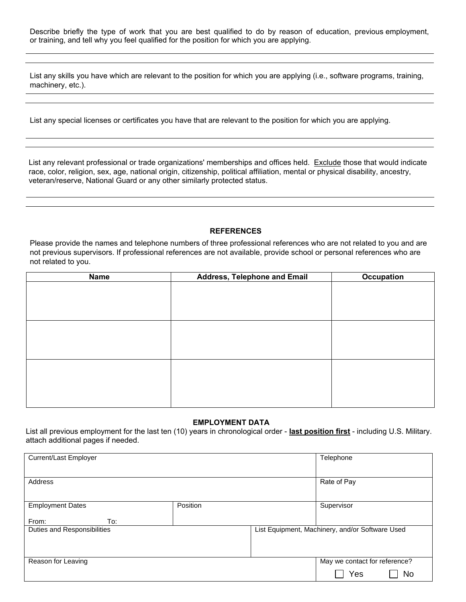Describe briefly the type of work that you are best qualified to do by reason of education, previous employment, or training, and tell why you feel qualified for the position for which you are applying.

List any skills you have which are relevant to the position for which you are applying (i.e., software programs, training, machinery, etc.).

List any special licenses or certificates you have that are relevant to the position for which you are applying.

List any relevant professional or trade organizations' memberships and offices held. Exclude those that would indicate race, color, religion, sex, age, national origin, citizenship, political affiliation, mental or physical disability, ancestry, veteran/reserve, National Guard or any other similarly protected status.

#### **REFERENCES**

Please provide the names and telephone numbers of three professional references who are not related to you and are not previous supervisors. If professional references are not available, provide school or personal references who are not related to you.

| Name | <b>Address, Telephone and Email</b> | <b>Occupation</b> |
|------|-------------------------------------|-------------------|
|      |                                     |                   |
|      |                                     |                   |
|      |                                     |                   |
|      |                                     |                   |
|      |                                     |                   |
|      |                                     |                   |
|      |                                     |                   |
|      |                                     |                   |
|      |                                     |                   |
|      |                                     |                   |
|      |                                     |                   |
|      |                                     |                   |

#### **EMPLOYMENT DATA**

List all previous employment for the last ten (10) years in chronological order - **last position first** - including U.S. Military. attach additional pages if needed.

| Current/Last Employer       |          | Telephone                                       |
|-----------------------------|----------|-------------------------------------------------|
|                             |          |                                                 |
| Address                     |          | Rate of Pay                                     |
|                             |          |                                                 |
| <b>Employment Dates</b>     | Position | Supervisor                                      |
| To:<br>From:                |          |                                                 |
| Duties and Responsibilities |          | List Equipment, Machinery, and/or Software Used |
|                             |          |                                                 |
|                             |          |                                                 |
|                             |          |                                                 |
| Reason for Leaving          |          | May we contact for reference?                   |
|                             |          | Yes<br>No                                       |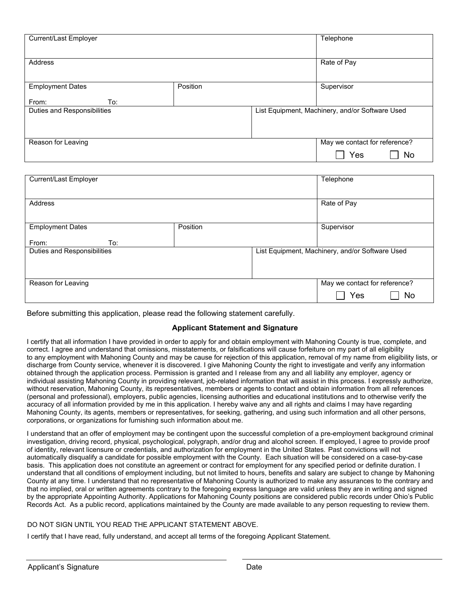| Current/Last Employer       |          | Telephone                                       |
|-----------------------------|----------|-------------------------------------------------|
|                             |          |                                                 |
| Address                     |          | Rate of Pay                                     |
|                             |          |                                                 |
| <b>Employment Dates</b>     | Position | Supervisor                                      |
|                             |          |                                                 |
| From:<br>To:                |          |                                                 |
| Duties and Responsibilities |          | List Equipment, Machinery, and/or Software Used |
|                             |          |                                                 |
|                             |          |                                                 |
|                             |          |                                                 |
| Reason for Leaving          |          | May we contact for reference?                   |
|                             |          | Yes<br>No                                       |

| Current/Last Employer       |          | Telephone                                       |    |
|-----------------------------|----------|-------------------------------------------------|----|
| Address                     |          | Rate of Pay                                     |    |
| <b>Employment Dates</b>     | Position | Supervisor                                      |    |
| To:<br>From:                |          |                                                 |    |
| Duties and Responsibilities |          | List Equipment, Machinery, and/or Software Used |    |
| Reason for Leaving          |          | May we contact for reference?                   |    |
|                             |          | Yes                                             | No |

Before submitting this application, please read the following statement carefully.

#### **Applicant Statement and Signature**

I certify that all information I have provided in order to apply for and obtain employment with Mahoning County is true, complete, and correct. I agree and understand that omissions, misstatements, or falsifications will cause forfeiture on my part of all eligibility to any employment with Mahoning County and may be cause for rejection of this application, removal of my name from eligibility lists, or discharge from County service, whenever it is discovered. I give Mahoning County the right to investigate and verify any information obtained through the application process. Permission is granted and I release from any and all liability any employer, agency or individual assisting Mahoning County in providing relevant, job-related information that will assist in this process. I expressly authorize, without reservation, Mahoning County, its representatives, members or agents to contact and obtain information from all references (personal and professional), employers, public agencies, licensing authorities and educational institutions and to otherwise verify the accuracy of all information provided by me in this application. I hereby waive any and all rights and claims I may have regarding Mahoning County, its agents, members or representatives, for seeking, gathering, and using such information and all other persons, corporations, or organizations for furnishing such information about me.

I understand that an offer of employment may be contingent upon the successful completion of a pre-employment background criminal investigation, driving record, physical, psychological, polygraph, and/or drug and alcohol screen. If employed, I agree to provide proof of identity, relevant licensure or credentials, and authorization for employment in the United States. Past convictions will not automatically disqualify a candidate for possible employment with the County. Each situation will be considered on a case-by-case basis. This application does not constitute an agreement or contract for employment for any specified period or definite duration. I understand that all conditions of employment including, but not limited to hours, benefits and salary are subject to change by Mahoning County at any time. I understand that no representative of Mahoning County is authorized to make any assurances to the contrary and that no implied, oral or written agreements contrary to the foregoing express language are valid unless they are in writing and signed by the appropriate Appointing Authority. Applications for Mahoning County positions are considered public records under Ohio's Public Records Act. As a public record, applications maintained by the County are made available to any person requesting to review them.

#### DO NOT SIGN UNTIL YOU READ THE APPLICANT STATEMENT ABOVE.

I certify that I have read, fully understand, and accept all terms of the foregoing Applicant Statement.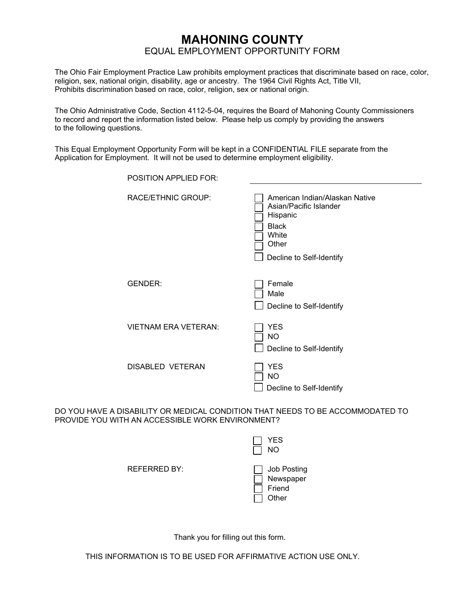## **MAHONING COUNTY**  EQUAL EMPLOYMENT OPPORTUNITY FORM

The Ohio Fair Employment Practice Law prohibits employment practices that discriminate based on race, color, religion, sex, national origin, disability, age or ancestry. The 1964 Civil Rights Act, Title VII, Prohibits discrimination based on race, color, religion, sex or national origin.

The Ohio Administrative Code, Section 4112-5-04, requires the Board of Mahoning County Commissioners to record and report the information listed below. Please help us comply by providing the answers to the following questions.

This Equal Employment Opportunity Form will be kept in a CONFIDENTIAL FILE separate from the Application for Employment. It will not be used to determine employment eligibility.

| <b>POSITION APPLIED FOR:</b> |                                                                                                                                    |
|------------------------------|------------------------------------------------------------------------------------------------------------------------------------|
| RACE/ETHNIC GROUP:           | American Indian/Alaskan Native<br>Asian/Pacific Islander<br>Hispanic<br><b>Black</b><br>White<br>Other<br>Decline to Self-Identify |
| <b>GENDER:</b>               | Female<br>Male<br>Decline to Self-Identify                                                                                         |
| <b>VIETNAM ERA VETERAN:</b>  | <b>YES</b><br><b>NO</b><br>Decline to Self-Identify                                                                                |
| <b>DISABLED VETERAN</b>      | <b>YES</b><br><b>NO</b><br>Decline to Self-Identify                                                                                |

DO YOU HAVE A DISABILITY OR MEDICAL CONDITION THAT NEEDS TO BE ACCOMMODATED TO PROVIDE YOU WITH AN ACCESSIBLE WORK ENVIRONMENT?

|              | YES<br><b>NO</b>                            |
|--------------|---------------------------------------------|
| REFERRED BY: | Job Posting<br>Newspaper<br>Friend<br>Other |

Thank you for filling out this form.

THIS INFORMATION IS TO BE USED FOR AFFIRMATIVE ACTION USE ONLY.